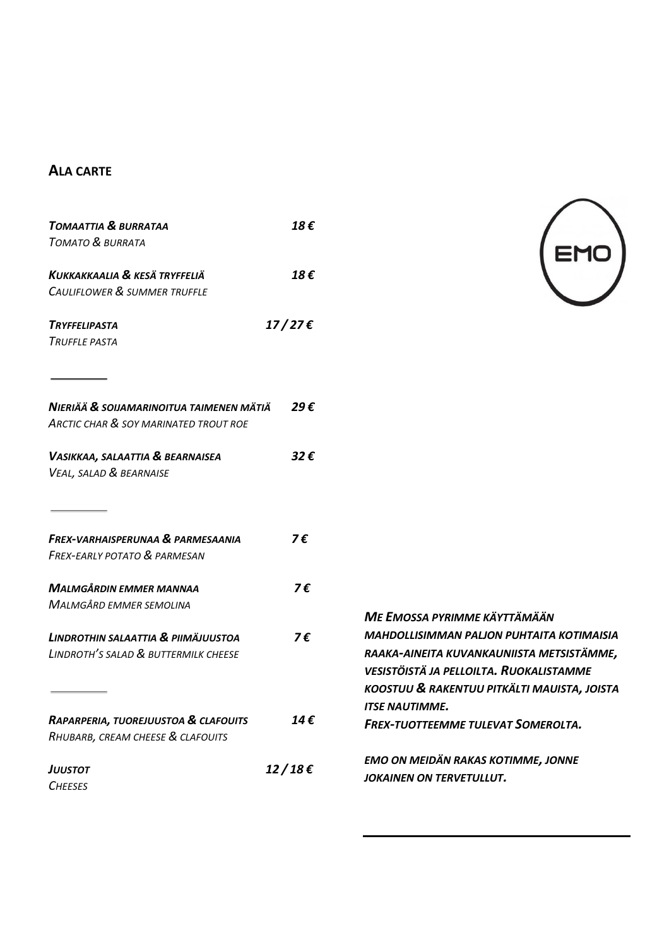## **ALA CARTE**

| TOMAATTIA & BURRATAA                             | 18€             |
|--------------------------------------------------|-----------------|
| <b>TOMATO &amp; BURRATA</b>                      |                 |
| Kukkakkaalia & kesä tryffeliä                    | 18€             |
| CAULIFLOWER & SUMMER TRUFFLE                     |                 |
| TRYFFELIPASTA                                    | $17/27\epsilon$ |
| Truffle pasta                                    |                 |
|                                                  |                 |
| NIERIÄÄ & SOIJAMARINOITUA TAIMENEN MÄTIÄ         | 29€             |
| <b>ARCTIC CHAR &amp; SOY MARINATED TROUT ROE</b> |                 |
| VASIKKAA, SALAATTIA & BEARNAISEA                 | 32€             |
| VEAL, SALAD & BEARNAISE                          |                 |
|                                                  |                 |
| <b>FREX-VARHAISPERUNAA &amp; PARMESAANIA</b>     | 7€              |
| <b>FREX-EARLY POTATO &amp; PARMESAN</b>          |                 |
| <b>MALMGÅRDIN EMMER MANNAA</b>                   | 7€              |
| <b>MALMGÅRD EMMER SEMOLINA</b>                   |                 |
| LINDROTHIN SALAATTIA & PIIMÄJUUSTOA              | 7€              |
| LINDROTH'S SALAD & BUTTERMILK CHEESE             |                 |
|                                                  |                 |
| RAPARPERIA, TUOREJUUSTOA & CLAFOUITS             | 14 €            |
| RHUBARB, CREAM CHEESE & CLAFOUITS                |                 |
| JUUSTOT                                          | 12/18€          |
| <b>CHEESES</b>                                   |                 |



| ME EMOSSA PYRIMME KÄYTTÄMÄÄN                     |
|--------------------------------------------------|
| <b>MAHDOLLISIMMAN PALJON PUHTAITA KOTIMAISIA</b> |
| RAAKA-AINEITA KUVANKAUNIISTA METSISTÄMME,        |
| <b>VESISTÖISTÄ JA PELLOILTA. RUOKALISTAMME</b>   |
| KOOSTUU & RAKENTUU PITKÄLTI MAUISTA, JOISTA      |
| <b>ITSE NAUTIMME.</b>                            |
| <b>FREX-TUOTTEEMME TULEVAT SOMEROLTA.</b>        |
|                                                  |
| <b>EMO ON MEIDÄN RAKAS KOTIMME, JONNE</b>        |
| JOKAINEN ON TERVETULLUT.                         |